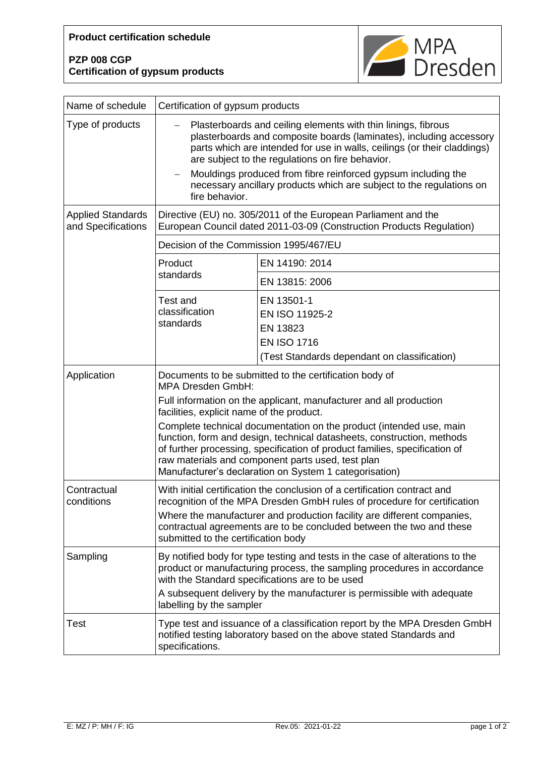## **PZP 008 CGP Certification of gypsum products**



| Name of schedule                               | Certification of gypsum products                                                                                                                                                                                                                                                                                                                                                                                                                            |                                                                                                                |  |
|------------------------------------------------|-------------------------------------------------------------------------------------------------------------------------------------------------------------------------------------------------------------------------------------------------------------------------------------------------------------------------------------------------------------------------------------------------------------------------------------------------------------|----------------------------------------------------------------------------------------------------------------|--|
| Type of products                               | Plasterboards and ceiling elements with thin linings, fibrous<br>plasterboards and composite boards (laminates), including accessory<br>parts which are intended for use in walls, ceilings (or their claddings)<br>are subject to the regulations on fire behavior.<br>Mouldings produced from fibre reinforced gypsum including the<br>$\overline{\phantom{0}}$<br>necessary ancillary products which are subject to the regulations on<br>fire behavior. |                                                                                                                |  |
| <b>Applied Standards</b><br>and Specifications | Directive (EU) no. 305/2011 of the European Parliament and the<br>European Council dated 2011-03-09 (Construction Products Regulation)                                                                                                                                                                                                                                                                                                                      |                                                                                                                |  |
|                                                | Decision of the Commission 1995/467/EU                                                                                                                                                                                                                                                                                                                                                                                                                      |                                                                                                                |  |
|                                                | Product<br>standards                                                                                                                                                                                                                                                                                                                                                                                                                                        | EN 14190: 2014                                                                                                 |  |
|                                                |                                                                                                                                                                                                                                                                                                                                                                                                                                                             | EN 13815: 2006                                                                                                 |  |
|                                                | <b>Test and</b><br>classification<br>standards                                                                                                                                                                                                                                                                                                                                                                                                              | EN 13501-1<br>EN ISO 11925-2<br>EN 13823<br><b>EN ISO 1716</b><br>(Test Standards dependant on classification) |  |
| Application                                    | Documents to be submitted to the certification body of<br><b>MPA Dresden GmbH:</b>                                                                                                                                                                                                                                                                                                                                                                          |                                                                                                                |  |
|                                                | Full information on the applicant, manufacturer and all production<br>facilities, explicit name of the product.<br>Complete technical documentation on the product (intended use, main                                                                                                                                                                                                                                                                      |                                                                                                                |  |
|                                                | function, form and design, technical datasheets, construction, methods<br>of further processing, specification of product families, specification of<br>raw materials and component parts used, test plan<br>Manufacturer's declaration on System 1 categorisation)                                                                                                                                                                                         |                                                                                                                |  |
| Contractual<br>conditions                      | With initial certification the conclusion of a certification contract and<br>recognition of the MPA Dresden GmbH rules of procedure for certification<br>Where the manufacturer and production facility are different companies,<br>contractual agreements are to be concluded between the two and these<br>submitted to the certification body                                                                                                             |                                                                                                                |  |
| Sampling                                       | By notified body for type testing and tests in the case of alterations to the<br>product or manufacturing process, the sampling procedures in accordance<br>with the Standard specifications are to be used<br>A subsequent delivery by the manufacturer is permissible with adequate<br>labelling by the sampler                                                                                                                                           |                                                                                                                |  |
| <b>Test</b>                                    | Type test and issuance of a classification report by the MPA Dresden GmbH<br>notified testing laboratory based on the above stated Standards and<br>specifications.                                                                                                                                                                                                                                                                                         |                                                                                                                |  |